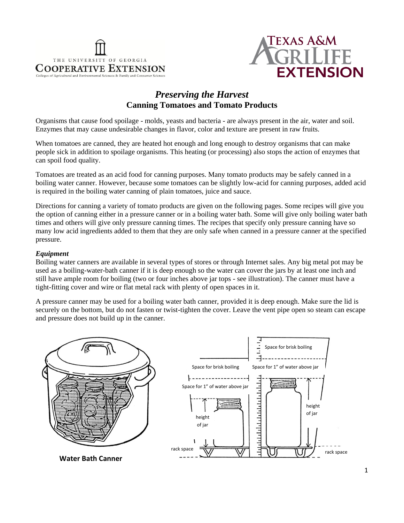



# *Preserving the Harvest* **Canning Tomatoes and Tomato Products**

Organisms that cause food spoilage - molds, yeasts and bacteria - are always present in the air, water and soil. Enzymes that may cause undesirable changes in flavor, color and texture are present in raw fruits.

When tomatoes are canned, they are heated hot enough and long enough to destroy organisms that can make people sick in addition to spoilage organisms. This heating (or processing) also stops the action of enzymes that can spoil food quality.

Tomatoes are treated as an acid food for canning purposes. Many tomato products may be safely canned in a boiling water canner. However, because some tomatoes can be slightly low-acid for canning purposes, added acid is required in the boiling water canning of plain tomatoes, juice and sauce.

Directions for canning a variety of tomato products are given on the following pages. Some recipes will give you the option of canning either in a pressure canner or in a boiling water bath. Some will give only boiling water bath times and others will give only pressure canning times. The recipes that specify only pressure canning have so many low acid ingredients added to them that they are only safe when canned in a pressure canner at the specified pressure.

### *Equipment*

Boiling water canners are available in several types of stores or through Internet sales. Any big metal pot may be used as a boiling-water-bath canner if it is deep enough so the water can cover the jars by at least one inch and still have ample room for boiling (two or four inches above jar tops - see illustration). The canner must have a tight-fitting cover and wire or flat metal rack with plenty of open spaces in it.

A pressure canner may be used for a boiling water bath canner, provided it is deep enough. Make sure the lid is securely on the bottom, but do not fasten or twist-tighten the cover. Leave the vent pipe open so steam can escape and pressure does not build up in the canner.

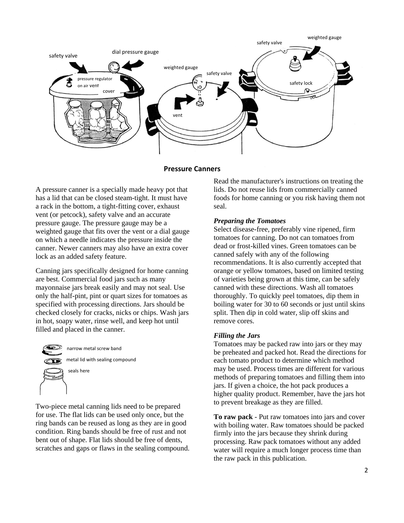

#### **Pressure Canners**

A pressure canner is a specially made heavy pot that has a lid that can be closed steam-tight. It must have a rack in the bottom, a tight-fitting cover, exhaust vent (or petcock), safety valve and an accurate pressure gauge. The pressure gauge may be a weighted gauge that fits over the vent or a dial gauge on which a needle indicates the pressure inside the canner. Newer canners may also have an extra cover lock as an added safety feature.

Canning jars specifically designed for home canning are best. Commercial food jars such as many mayonnaise jars break easily and may not seal. Use only the half-pint, pint or quart sizes for tomatoes as specified with processing directions. Jars should be checked closely for cracks, nicks or chips. Wash jars in hot, soapy water, rinse well, and keep hot until filled and placed in the canner.



Two-piece metal canning lids need to be prepared for use. The flat lids can be used only once, but the ring bands can be reused as long as they are in good condition. Ring bands should be free of rust and not bent out of shape. Flat lids should be free of dents, scratches and gaps or flaws in the sealing compound. Read the manufacturer's instructions on treating the lids. Do not reuse lids from commercially canned foods for home canning or you risk having them not seal.

#### *Preparing the Tomatoes*

Select disease-free, preferably vine ripened, firm tomatoes for canning. Do not can tomatoes from dead or frost-killed vines. Green tomatoes can be canned safely with any of the following recommendations. It is also currently accepted that orange or yellow tomatoes, based on limited testing of varieties being grown at this time, can be safely canned with these directions. Wash all tomatoes thoroughly. To quickly peel tomatoes, dip them in boiling water for 30 to 60 seconds or just until skins split. Then dip in cold water, slip off skins and remove cores.

#### *Filling the Jars*

Tomatoes may be packed raw into jars or they may be preheated and packed hot. Read the directions for each tomato product to determine which method may be used. Process times are different for various methods of preparing tomatoes and filling them into jars. If given a choice, the hot pack produces a higher quality product. Remember, have the jars hot to prevent breakage as they are filled.

**To raw pack** - Put raw tomatoes into jars and cover with boiling water. Raw tomatoes should be packed firmly into the jars because they shrink during processing. Raw pack tomatoes without any added water will require a much longer process time than the raw pack in this publication.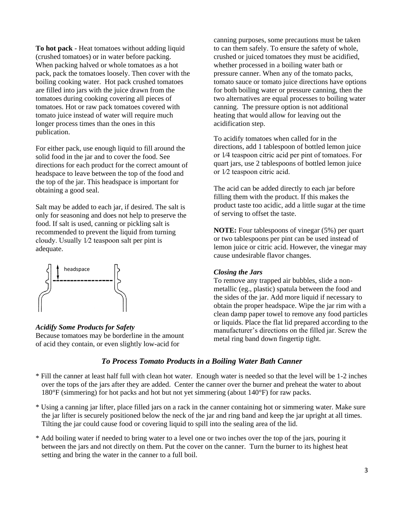**To hot pack** - Heat tomatoes without adding liquid (crushed tomatoes) or in water before packing. When packing halved or whole tomatoes as a hot pack, pack the tomatoes loosely. Then cover with the boiling cooking water. Hot pack crushed tomatoes are filled into jars with the juice drawn from the tomatoes during cooking covering all pieces of tomatoes. Hot or raw pack tomatoes covered with tomato juice instead of water will require much longer process times than the ones in this publication.

For either pack, use enough liquid to fill around the solid food in the jar and to cover the food. See directions for each product for the correct amount of headspace to leave between the top of the food and the top of the jar. This headspace is important for obtaining a good seal.

Salt may be added to each jar, if desired. The salt is only for seasoning and does not help to preserve the food. If salt is used, canning or pickling salt is recommended to prevent the liquid from turning cloudy. Usually 1⁄2 teaspoon salt per pint is adequate.



### *Acidify Some Products for Safety*

Because tomatoes may be borderline in the amount of acid they contain, or even slightly low-acid for

canning purposes, some precautions must be taken to can them safely. To ensure the safety of whole, crushed or juiced tomatoes they must be acidified, whether processed in a boiling water bath or pressure canner. When any of the tomato packs, tomato sauce or tomato juice directions have options for both boiling water or pressure canning, then the two alternatives are equal processes to boiling water canning. The pressure option is not additional heating that would allow for leaving out the acidification step.

To acidify tomatoes when called for in the directions, add 1 tablespoon of bottled lemon juice or 1⁄4 teaspoon citric acid per pint of tomatoes. For quart jars, use 2 tablespoons of bottled lemon juice or 1⁄2 teaspoon citric acid.

The acid can be added directly to each jar before filling them with the product. If this makes the product taste too acidic, add a little sugar at the time of serving to offset the taste.

**NOTE:** Four tablespoons of vinegar (5%) per quart or two tablespoons per pint can be used instead of lemon juice or citric acid. However, the vinegar may cause undesirable flavor changes.

#### *Closing the Jars*

To remove any trapped air bubbles, slide a nonmetallic (eg., plastic) spatula between the food and the sides of the jar. Add more liquid if necessary to obtain the proper headspace. Wipe the jar rim with a clean damp paper towel to remove any food particles or liquids. Place the flat lid prepared according to the manufacturer's directions on the filled jar. Screw the metal ring band down fingertip tight.

## *To Process Tomato Products in a Boiling Water Bath Canner*

- \* Fill the canner at least half full with clean hot water. Enough water is needed so that the level will be 1-2 inches over the tops of the jars after they are added. Center the canner over the burner and preheat the water to about 180°F (simmering) for hot packs and hot but not yet simmering (about 140°F) for raw packs.
- \* Using a canning jar lifter, place filled jars on a rack in the canner containing hot or simmering water. Make sure the jar lifter is securely positioned below the neck of the jar and ring band and keep the jar upright at all times. Tilting the jar could cause food or covering liquid to spill into the sealing area of the lid.
- \* Add boiling water if needed to bring water to a level one or two inches over the top of the jars, pouring it between the jars and not directly on them. Put the cover on the canner. Turn the burner to its highest heat setting and bring the water in the canner to a full boil.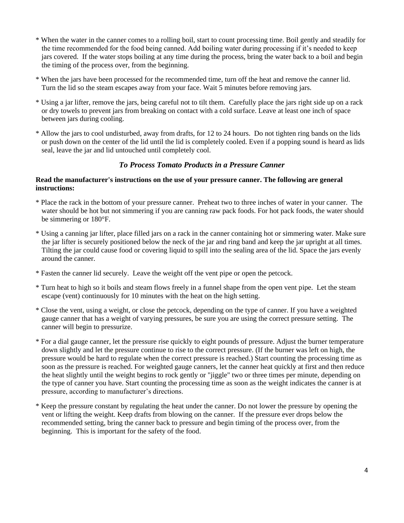- \* When the water in the canner comes to a rolling boil, start to count processing time. Boil gently and steadily for the time recommended for the food being canned. Add boiling water during processing if it's needed to keep jars covered. If the water stops boiling at any time during the process, bring the water back to a boil and begin the timing of the process over, from the beginning.
- \* When the jars have been processed for the recommended time, turn off the heat and remove the canner lid. Turn the lid so the steam escapes away from your face. Wait 5 minutes before removing jars.
- \* Using a jar lifter, remove the jars, being careful not to tilt them. Carefully place the jars right side up on a rack or dry towels to prevent jars from breaking on contact with a cold surface. Leave at least one inch of space between jars during cooling.
- \* Allow the jars to cool undisturbed, away from drafts, for 12 to 24 hours. Do not tighten ring bands on the lids or push down on the center of the lid until the lid is completely cooled. Even if a popping sound is heard as lids seal, leave the jar and lid untouched until completely cool.

## *To Process Tomato Products in a Pressure Canner*

## **Read the manufacturer's instructions on the use of your pressure canner. The following are general instructions:**

- \* Place the rack in the bottom of your pressure canner. Preheat two to three inches of water in your canner. The water should be hot but not simmering if you are canning raw pack foods. For hot pack foods, the water should be simmering or 180°F.
- \* Using a canning jar lifter, place filled jars on a rack in the canner containing hot or simmering water. Make sure the jar lifter is securely positioned below the neck of the jar and ring band and keep the jar upright at all times. Tilting the jar could cause food or covering liquid to spill into the sealing area of the lid. Space the jars evenly around the canner.
- \* Fasten the canner lid securely. Leave the weight off the vent pipe or open the petcock.
- \* Turn heat to high so it boils and steam flows freely in a funnel shape from the open vent pipe. Let the steam escape (vent) continuously for 10 minutes with the heat on the high setting.
- \* Close the vent, using a weight, or close the petcock, depending on the type of canner. If you have a weighted gauge canner that has a weight of varying pressures, be sure you are using the correct pressure setting. The canner will begin to pressurize.
- \* For a dial gauge canner, let the pressure rise quickly to eight pounds of pressure. Adjust the burner temperature down slightly and let the pressure continue to rise to the correct pressure. (If the burner was left on high, the pressure would be hard to regulate when the correct pressure is reached.) Start counting the processing time as soon as the pressure is reached. For weighted gauge canners, let the canner heat quickly at first and then reduce the heat slightly until the weight begins to rock gently or "jiggle" two or three times per minute, depending on the type of canner you have. Start counting the processing time as soon as the weight indicates the canner is at pressure, according to manufacturer's directions.
- \* Keep the pressure constant by regulating the heat under the canner. Do not lower the pressure by opening the vent or lifting the weight. Keep drafts from blowing on the canner. If the pressure ever drops below the recommended setting, bring the canner back to pressure and begin timing of the process over, from the beginning. This is important for the safety of the food.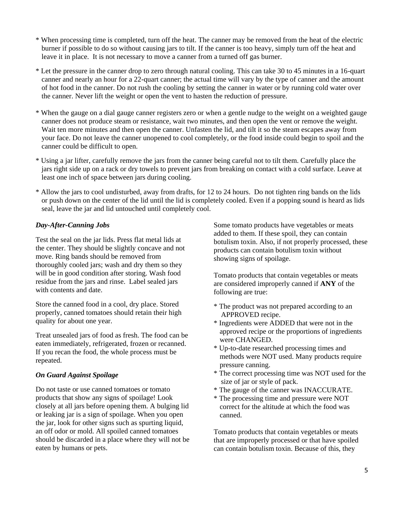- \* When processing time is completed, turn off the heat. The canner may be removed from the heat of the electric burner if possible to do so without causing jars to tilt. If the canner is too heavy, simply turn off the heat and leave it in place. It is not necessary to move a canner from a turned off gas burner.
- \* Let the pressure in the canner drop to zero through natural cooling. This can take 30 to 45 minutes in a 16-quart canner and nearly an hour for a 22-quart canner; the actual time will vary by the type of canner and the amount of hot food in the canner. Do not rush the cooling by setting the canner in water or by running cold water over the canner. Never lift the weight or open the vent to hasten the reduction of pressure.
- \* When the gauge on a dial gauge canner registers zero or when a gentle nudge to the weight on a weighted gauge canner does not produce steam or resistance, wait two minutes, and then open the vent or remove the weight. Wait ten more minutes and then open the canner. Unfasten the lid, and tilt it so the steam escapes away from your face. Do not leave the canner unopened to cool completely, or the food inside could begin to spoil and the canner could be difficult to open.
- \* Using a jar lifter, carefully remove the jars from the canner being careful not to tilt them. Carefully place the jars right side up on a rack or dry towels to prevent jars from breaking on contact with a cold surface. Leave at least one inch of space between jars during cooling.
- \* Allow the jars to cool undisturbed, away from drafts, for 12 to 24 hours. Do not tighten ring bands on the lids or push down on the center of the lid until the lid is completely cooled. Even if a popping sound is heard as lids seal, leave the jar and lid untouched until completely cool.

## *Day-After-Canning Jobs*

Test the seal on the jar lids. Press flat metal lids at the center. They should be slightly concave and not move. Ring bands should be removed from thoroughly cooled jars; wash and dry them so they will be in good condition after storing. Wash food residue from the jars and rinse. Label sealed jars with contents and date.

Store the canned food in a cool, dry place. Stored properly, canned tomatoes should retain their high quality for about one year.

Treat unsealed jars of food as fresh. The food can be eaten immediately, refrigerated, frozen or recanned. If you recan the food, the whole process must be repeated.

### *On Guard Against Spoilage*

Do not taste or use canned tomatoes or tomato products that show any signs of spoilage! Look closely at all jars before opening them. A bulging lid or leaking jar is a sign of spoilage. When you open the jar, look for other signs such as spurting liquid, an off odor or mold. All spoiled canned tomatoes should be discarded in a place where they will not be eaten by humans or pets.

Some tomato products have vegetables or meats added to them. If these spoil, they can contain botulism toxin. Also, if not properly processed, these products can contain botulism toxin without showing signs of spoilage.

Tomato products that contain vegetables or meats are considered improperly canned if **ANY** of the following are true:

- \* The product was not prepared according to an APPROVED recipe.
- \* Ingredients were ADDED that were not in the approved recipe or the proportions of ingredients were CHANGED.
- \* Up-to-date researched processing times and methods were NOT used. Many products require pressure canning.
- \* The correct processing time was NOT used for the size of jar or style of pack.
- \* The gauge of the canner was INACCURATE.
- \* The processing time and pressure were NOT correct for the altitude at which the food was canned.

Tomato products that contain vegetables or meats that are improperly processed or that have spoiled can contain botulism toxin. Because of this, they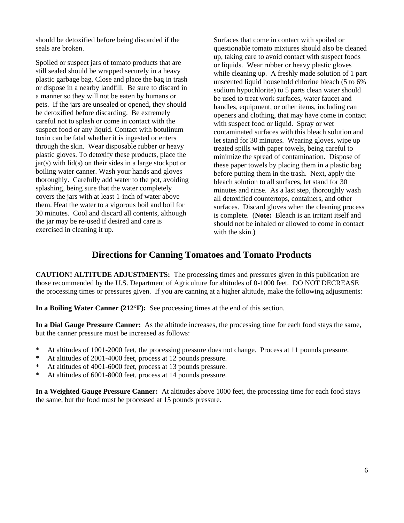should be detoxified before being discarded if the seals are broken.

Spoiled or suspect jars of tomato products that are still sealed should be wrapped securely in a heavy plastic garbage bag. Close and place the bag in trash or dispose in a nearby landfill. Be sure to discard in a manner so they will not be eaten by humans or pets. If the jars are unsealed or opened, they should be detoxified before discarding. Be extremely careful not to splash or come in contact with the suspect food or any liquid. Contact with botulinum toxin can be fatal whether it is ingested or enters through the skin. Wear disposable rubber or heavy plastic gloves. To detoxify these products, place the  $jar(s)$  with  $lid(s)$  on their sides in a large stockpot or boiling water canner. Wash your hands and gloves thoroughly. Carefully add water to the pot, avoiding splashing, being sure that the water completely covers the jars with at least 1-inch of water above them. Heat the water to a vigorous boil and boil for 30 minutes. Cool and discard all contents, although the jar may be re-used if desired and care is exercised in cleaning it up.

Surfaces that come in contact with spoiled or questionable tomato mixtures should also be cleaned up, taking care to avoid contact with suspect foods or liquids. Wear rubber or heavy plastic gloves while cleaning up. A freshly made solution of 1 part unscented liquid household chlorine bleach (5 to 6% sodium hypochlorite) to 5 parts clean water should be used to treat work surfaces, water faucet and handles, equipment, or other items, including can openers and clothing, that may have come in contact with suspect food or liquid. Spray or wet contaminated surfaces with this bleach solution and let stand for 30 minutes. Wearing gloves, wipe up treated spills with paper towels, being careful to minimize the spread of contamination. Dispose of these paper towels by placing them in a plastic bag before putting them in the trash. Next, apply the bleach solution to all surfaces, let stand for 30 minutes and rinse. As a last step, thoroughly wash all detoxified countertops, containers, and other surfaces. Discard gloves when the cleaning process is complete. (**Note:** Bleach is an irritant itself and should not be inhaled or allowed to come in contact with the skin.)

# **Directions for Canning Tomatoes and Tomato Products**

**CAUTION! ALTITUDE ADJUSTMENTS:** The processing times and pressures given in this publication are those recommended by the U.S. Department of Agriculture for altitudes of 0-1000 feet. DO NOT DECREASE the processing times or pressures given. If you are canning at a higher altitude, make the following adjustments:

**In a Boiling Water Canner (212°F):** See processing times at the end of this section.

**In a Dial Gauge Pressure Canner:** As the altitude increases, the processing time for each food stays the same, but the canner pressure must be increased as follows:

- \* At altitudes of 1001-2000 feet, the processing pressure does not change. Process at 11 pounds pressure.
- \* At altitudes of 2001-4000 feet, process at 12 pounds pressure.
- \* At altitudes of 4001-6000 feet, process at 13 pounds pressure.
- \* At altitudes of 6001-8000 feet, process at 14 pounds pressure.

**In a Weighted Gauge Pressure Canner:** At altitudes above 1000 feet, the processing time for each food stays the same, but the food must be processed at 15 pounds pressure.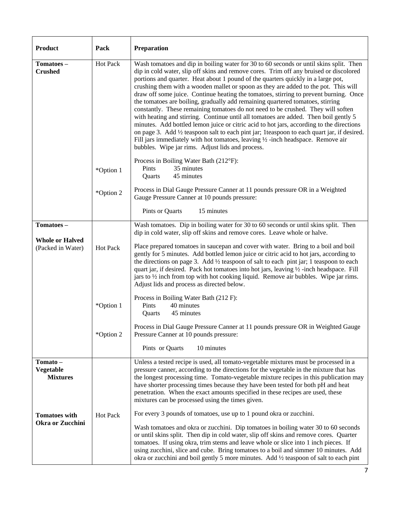| <b>Product</b>                                  | Pack            | Preparation                                                                                                                                                                                                                                                                                                                                                                                                                                                                                                                                                                                                                                                                                                                                                                                                                                                                                                                                                                                                                                                      |  |  |  |  |  |
|-------------------------------------------------|-----------------|------------------------------------------------------------------------------------------------------------------------------------------------------------------------------------------------------------------------------------------------------------------------------------------------------------------------------------------------------------------------------------------------------------------------------------------------------------------------------------------------------------------------------------------------------------------------------------------------------------------------------------------------------------------------------------------------------------------------------------------------------------------------------------------------------------------------------------------------------------------------------------------------------------------------------------------------------------------------------------------------------------------------------------------------------------------|--|--|--|--|--|
| Tomatoes-<br><b>Crushed</b>                     | Hot Pack        | Wash tomatoes and dip in boiling water for 30 to 60 seconds or until skins split. Then<br>dip in cold water, slip off skins and remove cores. Trim off any bruised or discolored<br>portions and quarter. Heat about 1 pound of the quarters quickly in a large pot,<br>crushing them with a wooden mallet or spoon as they are added to the pot. This will<br>draw off some juice. Continue heating the tomatoes, stirring to prevent burning. Once<br>the tomatoes are boiling, gradually add remaining quartered tomatoes, stirring<br>constantly. These remaining tomatoes do not need to be crushed. They will soften<br>with heating and stirring. Continue until all tomatoes are added. Then boil gently 5<br>minutes. Add bottled lemon juice or citric acid to hot jars, according to the directions<br>on page 3. Add 1/2 teaspoon salt to each pint jar; 1 teaspoon to each quart jar, if desired.<br>Fill jars immediately with hot tomatoes, leaving $\frac{1}{2}$ -inch headspace. Remove air<br>bubbles. Wipe jar rims. Adjust lids and process. |  |  |  |  |  |
|                                                 | *Option 1       | Process in Boiling Water Bath (212°F):<br>35 minutes<br>Pints<br>45 minutes<br>Quarts                                                                                                                                                                                                                                                                                                                                                                                                                                                                                                                                                                                                                                                                                                                                                                                                                                                                                                                                                                            |  |  |  |  |  |
|                                                 | *Option 2       | Process in Dial Gauge Pressure Canner at 11 pounds pressure OR in a Weighted<br>Gauge Pressure Canner at 10 pounds pressure:                                                                                                                                                                                                                                                                                                                                                                                                                                                                                                                                                                                                                                                                                                                                                                                                                                                                                                                                     |  |  |  |  |  |
|                                                 |                 | Pints or Quarts<br>15 minutes                                                                                                                                                                                                                                                                                                                                                                                                                                                                                                                                                                                                                                                                                                                                                                                                                                                                                                                                                                                                                                    |  |  |  |  |  |
| Tomatoes-                                       |                 | Wash tomatoes. Dip in boiling water for 30 to 60 seconds or until skins split. Then<br>dip in cold water, slip off skins and remove cores. Leave whole or halve.                                                                                                                                                                                                                                                                                                                                                                                                                                                                                                                                                                                                                                                                                                                                                                                                                                                                                                 |  |  |  |  |  |
| <b>Whole or Halved</b><br>(Packed in Water)     | Hot Pack        | Place prepared tomatoes in saucepan and cover with water. Bring to a boil and boil<br>gently for 5 minutes. Add bottled lemon juice or citric acid to hot jars, according to<br>the directions on page 3. Add 1/2 teaspoon of salt to each pint jar; 1 teaspoon to each<br>quart jar, if desired. Pack hot tomatoes into hot jars, leaving 1/2 -inch headspace. Fill<br>jars to 1/2 inch from top with hot cooking liquid. Remove air bubbles. Wipe jar rims.<br>Adjust lids and process as directed below.                                                                                                                                                                                                                                                                                                                                                                                                                                                                                                                                                      |  |  |  |  |  |
|                                                 | *Option 1       | Process in Boiling Water Bath (212 F):<br>40 minutes<br>Pints<br>Quarts<br>45 minutes                                                                                                                                                                                                                                                                                                                                                                                                                                                                                                                                                                                                                                                                                                                                                                                                                                                                                                                                                                            |  |  |  |  |  |
|                                                 | *Option 2       | Process in Dial Gauge Pressure Canner at 11 pounds pressure OR in Weighted Gauge<br>Pressure Canner at 10 pounds pressure:                                                                                                                                                                                                                                                                                                                                                                                                                                                                                                                                                                                                                                                                                                                                                                                                                                                                                                                                       |  |  |  |  |  |
|                                                 |                 | Pints or Quarts<br>10 minutes                                                                                                                                                                                                                                                                                                                                                                                                                                                                                                                                                                                                                                                                                                                                                                                                                                                                                                                                                                                                                                    |  |  |  |  |  |
| Tomato-<br>Vegetable<br><b>Mixtures</b>         |                 | Unless a tested recipe is used, all tomato-vegetable mixtures must be processed in a<br>pressure canner, according to the directions for the vegetable in the mixture that has<br>the longest processing time. Tomato-vegetable mixture recipes in this publication may<br>have shorter processing times because they have been tested for both pH and heat<br>penetration. When the exact amounts specified in these recipes are used, these<br>mixtures can be processed using the times given.                                                                                                                                                                                                                                                                                                                                                                                                                                                                                                                                                                |  |  |  |  |  |
| <b>Tomatoes with</b><br><b>Okra or Zucchini</b> | <b>Hot Pack</b> | For every 3 pounds of tomatoes, use up to 1 pound okra or zucchini.<br>Wash tomatoes and okra or zucchini. Dip tomatoes in boiling water 30 to 60 seconds<br>or until skins split. Then dip in cold water, slip off skins and remove cores. Quarter<br>tomatoes. If using okra, trim stems and leave whole or slice into 1 inch pieces. If<br>using zucchini, slice and cube. Bring tomatoes to a boil and simmer 10 minutes. Add<br>okra or zucchini and boil gently 5 more minutes. Add 1/2 teaspoon of salt to each pint                                                                                                                                                                                                                                                                                                                                                                                                                                                                                                                                      |  |  |  |  |  |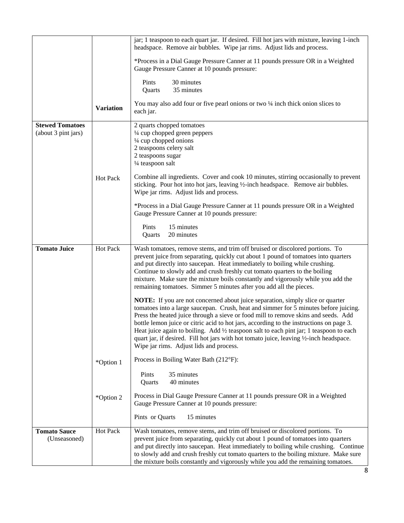|                                               |                  | jar; 1 teaspoon to each quart jar. If desired. Fill hot jars with mixture, leaving 1-inch<br>headspace. Remove air bubbles. Wipe jar rims. Adjust lids and process.                                                                                                                                                                                                                                                                                                                                                                                                                      |  |  |  |  |  |
|-----------------------------------------------|------------------|------------------------------------------------------------------------------------------------------------------------------------------------------------------------------------------------------------------------------------------------------------------------------------------------------------------------------------------------------------------------------------------------------------------------------------------------------------------------------------------------------------------------------------------------------------------------------------------|--|--|--|--|--|
|                                               |                  | *Process in a Dial Gauge Pressure Canner at 11 pounds pressure OR in a Weighted<br>Gauge Pressure Canner at 10 pounds pressure:                                                                                                                                                                                                                                                                                                                                                                                                                                                          |  |  |  |  |  |
|                                               |                  | 30 minutes<br>Pints<br>35 minutes<br>Quarts                                                                                                                                                                                                                                                                                                                                                                                                                                                                                                                                              |  |  |  |  |  |
|                                               | <b>Variation</b> | You may also add four or five pearl onions or two $\frac{1}{4}$ inch thick onion slices to<br>each jar.                                                                                                                                                                                                                                                                                                                                                                                                                                                                                  |  |  |  |  |  |
| <b>Stewed Tomatoes</b><br>(about 3 pint jars) |                  | 2 quarts chopped tomatoes<br>1/4 cup chopped green peppers<br>1/4 cup chopped onions<br>2 teaspoons celery salt<br>2 teaspoons sugar<br>1/4 teaspoon salt                                                                                                                                                                                                                                                                                                                                                                                                                                |  |  |  |  |  |
|                                               | <b>Hot Pack</b>  | Combine all ingredients. Cover and cook 10 minutes, stirring occasionally to prevent<br>sticking. Pour hot into hot jars, leaving 1/2-inch headspace. Remove air bubbles.<br>Wipe jar rims. Adjust lids and process.                                                                                                                                                                                                                                                                                                                                                                     |  |  |  |  |  |
|                                               |                  | *Process in a Dial Gauge Pressure Canner at 11 pounds pressure OR in a Weighted<br>Gauge Pressure Canner at 10 pounds pressure:                                                                                                                                                                                                                                                                                                                                                                                                                                                          |  |  |  |  |  |
|                                               |                  | Pints<br>15 minutes<br>20 minutes<br>Quarts                                                                                                                                                                                                                                                                                                                                                                                                                                                                                                                                              |  |  |  |  |  |
| <b>Tomato Juice</b>                           | Hot Pack         | Wash tomatoes, remove stems, and trim off bruised or discolored portions. To<br>prevent juice from separating, quickly cut about 1 pound of tomatoes into quarters<br>and put directly into saucepan. Heat immediately to boiling while crushing.<br>Continue to slowly add and crush freshly cut tomato quarters to the boiling<br>mixture. Make sure the mixture boils constantly and vigorously while you add the<br>remaining tomatoes. Simmer 5 minutes after you add all the pieces.                                                                                               |  |  |  |  |  |
|                                               |                  | NOTE: If you are not concerned about juice separation, simply slice or quarter<br>tomatoes into a large saucepan. Crush, heat and simmer for 5 minutes before juicing.<br>Press the heated juice through a sieve or food mill to remove skins and seeds. Add<br>bottle lemon juice or citric acid to hot jars, according to the instructions on page 3.<br>Heat juice again to boiling. Add 1/2 teaspoon salt to each pint jar; 1 teaspoon to each<br>quart jar, if desired. Fill hot jars with hot tomato juice, leaving 1/2-inch headspace.<br>Wipe jar rims. Adjust lids and process. |  |  |  |  |  |
|                                               | *Option 1        | Process in Boiling Water Bath (212°F):                                                                                                                                                                                                                                                                                                                                                                                                                                                                                                                                                   |  |  |  |  |  |
|                                               |                  | 35 minutes<br>Pints<br>40 minutes<br>Quarts                                                                                                                                                                                                                                                                                                                                                                                                                                                                                                                                              |  |  |  |  |  |
|                                               | *Option 2        | Process in Dial Gauge Pressure Canner at 11 pounds pressure OR in a Weighted<br>Gauge Pressure Canner at 10 pounds pressure:                                                                                                                                                                                                                                                                                                                                                                                                                                                             |  |  |  |  |  |
|                                               |                  | Pints or Quarts<br>15 minutes                                                                                                                                                                                                                                                                                                                                                                                                                                                                                                                                                            |  |  |  |  |  |
| <b>Tomato Sauce</b><br>(Unseasoned)           | Hot Pack         | Wash tomatoes, remove stems, and trim off bruised or discolored portions. To<br>prevent juice from separating, quickly cut about 1 pound of tomatoes into quarters<br>and put directly into saucepan. Heat immediately to boiling while crushing. Continue<br>to slowly add and crush freshly cut tomato quarters to the boiling mixture. Make sure<br>the mixture boils constantly and vigorously while you add the remaining tomatoes.                                                                                                                                                 |  |  |  |  |  |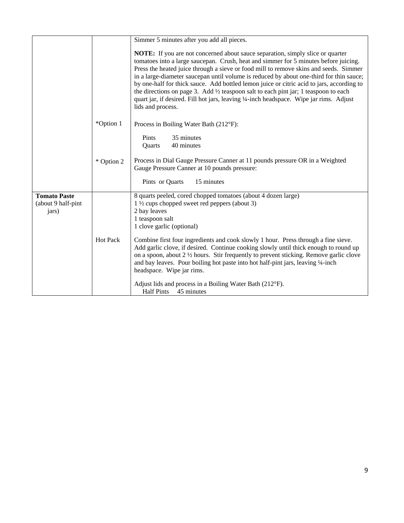|                                                    |                 | Simmer 5 minutes after you add all pieces.                                                                                                                                                                                                                                                                                                                                                                                                                                                                                                                                                                                                                                       |  |  |  |  |  |
|----------------------------------------------------|-----------------|----------------------------------------------------------------------------------------------------------------------------------------------------------------------------------------------------------------------------------------------------------------------------------------------------------------------------------------------------------------------------------------------------------------------------------------------------------------------------------------------------------------------------------------------------------------------------------------------------------------------------------------------------------------------------------|--|--|--|--|--|
|                                                    |                 | <b>NOTE:</b> If you are not concerned about sauce separation, simply slice or quarter<br>tomatoes into a large saucepan. Crush, heat and simmer for 5 minutes before juicing.<br>Press the heated juice through a sieve or food mill to remove skins and seeds. Simmer<br>in a large-diameter saucepan until volume is reduced by about one-third for thin sauce;<br>by one-half for thick sauce. Add bottled lemon juice or citric acid to jars, according to<br>the directions on page 3. Add $\frac{1}{2}$ teaspoon salt to each pint jar; 1 teaspoon to each<br>quart jar, if desired. Fill hot jars, leaving 1/4-inch headspace. Wipe jar rims. Adjust<br>lids and process. |  |  |  |  |  |
|                                                    | *Option 1       | Process in Boiling Water Bath (212°F):                                                                                                                                                                                                                                                                                                                                                                                                                                                                                                                                                                                                                                           |  |  |  |  |  |
|                                                    |                 | 35 minutes<br>Pints<br>40 minutes<br>Quarts                                                                                                                                                                                                                                                                                                                                                                                                                                                                                                                                                                                                                                      |  |  |  |  |  |
|                                                    | * Option 2      | Process in Dial Gauge Pressure Canner at 11 pounds pressure OR in a Weighted<br>Gauge Pressure Canner at 10 pounds pressure:                                                                                                                                                                                                                                                                                                                                                                                                                                                                                                                                                     |  |  |  |  |  |
|                                                    |                 | Pints or Quarts<br>15 minutes                                                                                                                                                                                                                                                                                                                                                                                                                                                                                                                                                                                                                                                    |  |  |  |  |  |
| <b>Tomato Paste</b><br>(about 9 half-pint<br>jars) |                 | 8 quarts peeled, cored chopped tomatoes (about 4 dozen large)<br>$1\frac{1}{2}$ cups chopped sweet red peppers (about 3)<br>2 bay leaves<br>1 teaspoon salt<br>1 clove garlic (optional)                                                                                                                                                                                                                                                                                                                                                                                                                                                                                         |  |  |  |  |  |
|                                                    | <b>Hot Pack</b> | Combine first four ingredients and cook slowly 1 hour. Press through a fine sieve.<br>Add garlic clove, if desired. Continue cooking slowly until thick enough to round up<br>on a spoon, about 2 1/2 hours. Stir frequently to prevent sticking. Remove garlic clove<br>and bay leaves. Pour boiling hot paste into hot half-pint jars, leaving 1/4-inch<br>headspace. Wipe jar rims.                                                                                                                                                                                                                                                                                           |  |  |  |  |  |
|                                                    |                 | Adjust lids and process in a Boiling Water Bath (212°F).<br><b>Half Pints</b><br>45 minutes                                                                                                                                                                                                                                                                                                                                                                                                                                                                                                                                                                                      |  |  |  |  |  |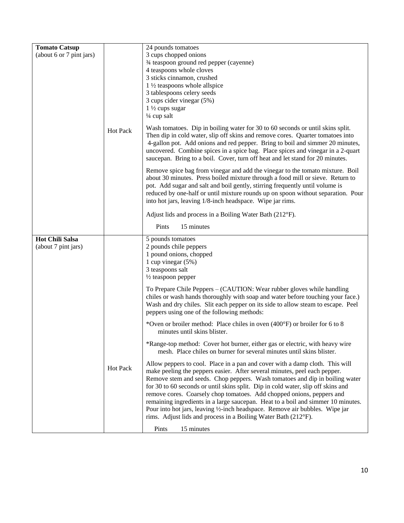| <b>Tomato Catsup</b>                          |                 | 24 pounds tomatoes                                                                                                                                                                                                                                                                                                                                                                                                                                                                                                                                                                                                                          |
|-----------------------------------------------|-----------------|---------------------------------------------------------------------------------------------------------------------------------------------------------------------------------------------------------------------------------------------------------------------------------------------------------------------------------------------------------------------------------------------------------------------------------------------------------------------------------------------------------------------------------------------------------------------------------------------------------------------------------------------|
| (about 6 or 7 pint jars)                      |                 | 3 cups chopped onions<br>3/4 teaspoon ground red pepper (cayenne)<br>4 teaspoons whole cloves<br>3 sticks cinnamon, crushed<br>$1\frac{1}{2}$ teaspoons whole allspice<br>3 tablespoons celery seeds<br>3 cups cider vinegar (5%)<br>$1\frac{1}{2}$ cups sugar<br>$\frac{1}{4}$ cup salt                                                                                                                                                                                                                                                                                                                                                    |
|                                               | <b>Hot Pack</b> | Wash tomatoes. Dip in boiling water for 30 to 60 seconds or until skins split.<br>Then dip in cold water, slip off skins and remove cores. Quarter tomatoes into<br>4-gallon pot. Add onions and red pepper. Bring to boil and simmer 20 minutes,<br>uncovered. Combine spices in a spice bag. Place spices and vinegar in a 2-quart<br>saucepan. Bring to a boil. Cover, turn off heat and let stand for 20 minutes.                                                                                                                                                                                                                       |
|                                               |                 | Remove spice bag from vinegar and add the vinegar to the tomato mixture. Boil<br>about 30 minutes. Press boiled mixture through a food mill or sieve. Return to<br>pot. Add sugar and salt and boil gently, stirring frequently until volume is<br>reduced by one-half or until mixture rounds up on spoon without separation. Pour<br>into hot jars, leaving 1/8-inch headspace. Wipe jar rims.                                                                                                                                                                                                                                            |
|                                               |                 | Adjust lids and process in a Boiling Water Bath (212°F).                                                                                                                                                                                                                                                                                                                                                                                                                                                                                                                                                                                    |
|                                               |                 | 15 minutes<br>Pints                                                                                                                                                                                                                                                                                                                                                                                                                                                                                                                                                                                                                         |
| <b>Hot Chili Salsa</b><br>(about 7 pint jars) |                 | 5 pounds tomatoes<br>2 pounds chile peppers<br>1 pound onions, chopped<br>1 cup vinegar $(5%)$<br>3 teaspoons salt<br>$\frac{1}{2}$ teaspoon pepper                                                                                                                                                                                                                                                                                                                                                                                                                                                                                         |
|                                               |                 | To Prepare Chile Peppers – (CAUTION: Wear rubber gloves while handling<br>chiles or wash hands thoroughly with soap and water before touching your face.)<br>Wash and dry chiles. Slit each pepper on its side to allow steam to escape. Peel<br>peppers using one of the following methods:                                                                                                                                                                                                                                                                                                                                                |
|                                               |                 | *Oven or broiler method: Place chiles in oven (400°F) or broiler for 6 to 8<br>minutes until skins blister.                                                                                                                                                                                                                                                                                                                                                                                                                                                                                                                                 |
|                                               |                 | *Range-top method: Cover hot burner, either gas or electric, with heavy wire<br>mesh. Place chiles on burner for several minutes until skins blister.                                                                                                                                                                                                                                                                                                                                                                                                                                                                                       |
|                                               | Hot Pack        | Allow peppers to cool. Place in a pan and cover with a damp cloth. This will<br>make peeling the peppers easier. After several minutes, peel each pepper.<br>Remove stem and seeds. Chop peppers. Wash tomatoes and dip in boiling water<br>for 30 to 60 seconds or until skins split. Dip in cold water, slip off skins and<br>remove cores. Coarsely chop tomatoes. Add chopped onions, peppers and<br>remaining ingredients in a large saucepan. Heat to a boil and simmer 10 minutes.<br>Pour into hot jars, leaving 1/2-inch headspace. Remove air bubbles. Wipe jar<br>rims. Adjust lids and process in a Boiling Water Bath (212°F). |
|                                               |                 | Pints<br>15 minutes                                                                                                                                                                                                                                                                                                                                                                                                                                                                                                                                                                                                                         |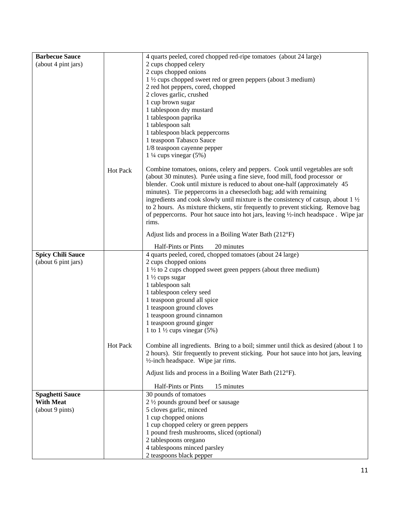| <b>Barbecue Sauce</b>    |          | 4 quarts peeled, cored chopped red-ripe tomatoes (about 24 large)                                                                                          |
|--------------------------|----------|------------------------------------------------------------------------------------------------------------------------------------------------------------|
| (about 4 pint jars)      |          | 2 cups chopped celery                                                                                                                                      |
|                          |          | 2 cups chopped onions                                                                                                                                      |
|                          |          | 1 1/2 cups chopped sweet red or green peppers (about 3 medium)                                                                                             |
|                          |          | 2 red hot peppers, cored, chopped                                                                                                                          |
|                          |          | 2 cloves garlic, crushed                                                                                                                                   |
|                          |          | 1 cup brown sugar                                                                                                                                          |
|                          |          | 1 tablespoon dry mustard                                                                                                                                   |
|                          |          | 1 tablespoon paprika                                                                                                                                       |
|                          |          | 1 tablespoon salt                                                                                                                                          |
|                          |          | 1 tablespoon black peppercorns                                                                                                                             |
|                          |          | 1 teaspoon Tabasco Sauce                                                                                                                                   |
|                          |          | 1/8 teaspoon cayenne pepper                                                                                                                                |
|                          |          | $1\frac{1}{4}$ cups vinegar (5%)                                                                                                                           |
|                          | Hot Pack | Combine tomatoes, onions, celery and peppers. Cook until vegetables are soft<br>(about 30 minutes). Purée using a fine sieve, food mill, food processor or |
|                          |          | blender. Cook until mixture is reduced to about one-half (approximately 45)                                                                                |
|                          |          | minutes). Tie peppercorns in a cheesecloth bag; add with remaining                                                                                         |
|                          |          | ingredients and cook slowly until mixture is the consistency of catsup, about $1\frac{1}{2}$                                                               |
|                          |          | to 2 hours. As mixture thickens, stir frequently to prevent sticking. Remove bag                                                                           |
|                          |          | of peppercorns. Pour hot sauce into hot jars, leaving 1/2-inch headspace. Wipe jar                                                                         |
|                          |          | rims.                                                                                                                                                      |
|                          |          | Adjust lids and process in a Boiling Water Bath (212°F)                                                                                                    |
|                          |          | Half-Pints or Pints<br>20 minutes                                                                                                                          |
| <b>Spicy Chili Sauce</b> |          | 4 quarts peeled, cored, chopped tomatoes (about 24 large)                                                                                                  |
| (about 6 pint jars)      |          | 2 cups chopped onions                                                                                                                                      |
|                          |          | $1\frac{1}{2}$ to 2 cups chopped sweet green peppers (about three medium)<br>$1\frac{1}{2}$ cups sugar                                                     |
|                          |          | 1 tablespoon salt                                                                                                                                          |
|                          |          | 1 tablespoon celery seed                                                                                                                                   |
|                          |          | 1 teaspoon ground all spice                                                                                                                                |
|                          |          | 1 teaspoon ground cloves                                                                                                                                   |
|                          |          | 1 teaspoon ground cinnamon                                                                                                                                 |
|                          |          | 1 teaspoon ground ginger                                                                                                                                   |
|                          |          | 1 to 1 $\frac{1}{2}$ cups vinegar (5%)                                                                                                                     |
|                          |          |                                                                                                                                                            |
|                          | Hot Pack | Combine all ingredients. Bring to a boil; simmer until thick as desired (about 1 to                                                                        |
|                          |          | 2 hours). Stir frequently to prevent sticking. Pour hot sauce into hot jars, leaving                                                                       |
|                          |          | $\frac{1}{2}$ -inch headspace. Wipe jar rims.                                                                                                              |
|                          |          | Adjust lids and process in a Boiling Water Bath (212°F).                                                                                                   |
|                          |          | Half-Pints or Pints<br>15 minutes                                                                                                                          |
| <b>Spaghetti Sauce</b>   |          | 30 pounds of tomatoes                                                                                                                                      |
| <b>With Meat</b>         |          | 2 1/2 pounds ground beef or sausage                                                                                                                        |
| (about 9 pints)          |          | 5 cloves garlic, minced                                                                                                                                    |
|                          |          | 1 cup chopped onions                                                                                                                                       |
|                          |          | 1 cup chopped celery or green peppers                                                                                                                      |
|                          |          | 1 pound fresh mushrooms, sliced (optional)                                                                                                                 |
|                          |          | 2 tablespoons oregano                                                                                                                                      |
|                          |          | 4 tablespoons minced parsley                                                                                                                               |
|                          |          | 2 teaspoons black pepper                                                                                                                                   |